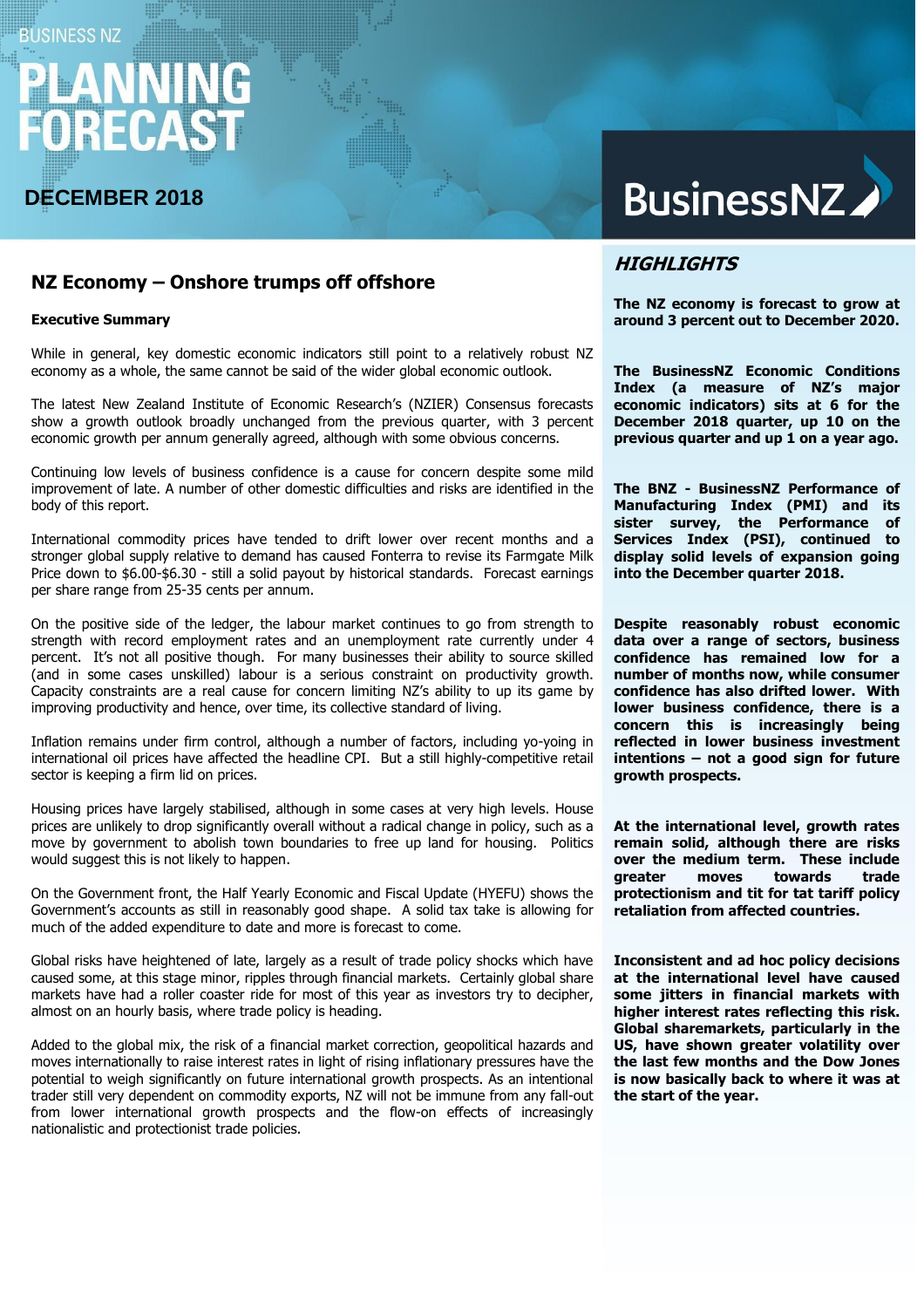# **BUSINESS NZ**

# **DECEMBER 2018**

# BusinessNZ

### **NZ Economy – Onshore trumps off offshore**

#### **Executive Summary**

While in general, key domestic economic indicators still point to a relatively robust NZ economy as a whole, the same cannot be said of the wider global economic outlook.

The latest New Zealand Institute of Economic Research's (NZIER) Consensus forecasts show a growth outlook broadly unchanged from the previous quarter, with 3 percent economic growth per annum generally agreed, although with some obvious concerns.

Continuing low levels of business confidence is a cause for concern despite some mild improvement of late. A number of other domestic difficulties and risks are identified in the body of this report.

International commodity prices have tended to drift lower over recent months and a stronger global supply relative to demand has caused Fonterra to revise its Farmgate Milk Price down to \$6.00-\$6.30 - still a solid payout by historical standards. Forecast earnings per share range from 25-35 cents per annum.

On the positive side of the ledger, the labour market continues to go from strength to strength with record employment rates and an unemployment rate currently under 4 percent. It's not all positive though. For many businesses their ability to source skilled (and in some cases unskilled) labour is a serious constraint on productivity growth. Capacity constraints are a real cause for concern limiting NZ's ability to up its game by improving productivity and hence, over time, its collective standard of living.

Inflation remains under firm control, although a number of factors, including yo-yoing in international oil prices have affected the headline CPI. But a still highly-competitive retail sector is keeping a firm lid on prices.

Housing prices have largely stabilised, although in some cases at very high levels. House prices are unlikely to drop significantly overall without a radical change in policy, such as a move by government to abolish town boundaries to free up land for housing. Politics would suggest this is not likely to happen.

On the Government front, the Half Yearly Economic and Fiscal Update (HYEFU) shows the Government's accounts as still in reasonably good shape. A solid tax take is allowing for much of the added expenditure to date and more is forecast to come.

Global risks have heightened of late, largely as a result of trade policy shocks which have caused some, at this stage minor, ripples through financial markets. Certainly global share markets have had a roller coaster ride for most of this year as investors try to decipher, almost on an hourly basis, where trade policy is heading.

Added to the global mix, the risk of a financial market correction, geopolitical hazards and moves internationally to raise interest rates in light of rising inflationary pressures have the potential to weigh significantly on future international growth prospects. As an intentional trader still very dependent on commodity exports, NZ will not be immune from any fall-out from lower international growth prospects and the flow-on effects of increasingly nationalistic and protectionist trade policies.

## **HIGHLIGHTS**

**The NZ economy is forecast to grow at around 3 percent out to December 2020.**

**The BusinessNZ Economic Conditions Index (a measure of NZ's major economic indicators) sits at 6 for the December 2018 quarter, up 10 on the previous quarter and up 1 on a year ago.** 

**The BNZ - BusinessNZ Performance of Manufacturing Index (PMI) and its sister survey, the Performance of Services Index (PSI), continued to display solid levels of expansion going into the December quarter 2018.**

**Despite reasonably robust economic data over a range of sectors, business confidence has remained low for a number of months now, while consumer confidence has also drifted lower. With lower business confidence, there is a concern this is increasingly being reflected in lower business investment intentions – not a good sign for future growth prospects.**

**At the international level, growth rates remain solid, although there are risks over the medium term. These include greater moves towards trade protectionism and tit for tat tariff policy retaliation from affected countries.**

**Inconsistent and ad hoc policy decisions at the international level have caused some jitters in financial markets with higher interest rates reflecting this risk. Global sharemarkets, particularly in the US, have shown greater volatility over the last few months and the Dow Jones is now basically back to where it was at the start of the year.**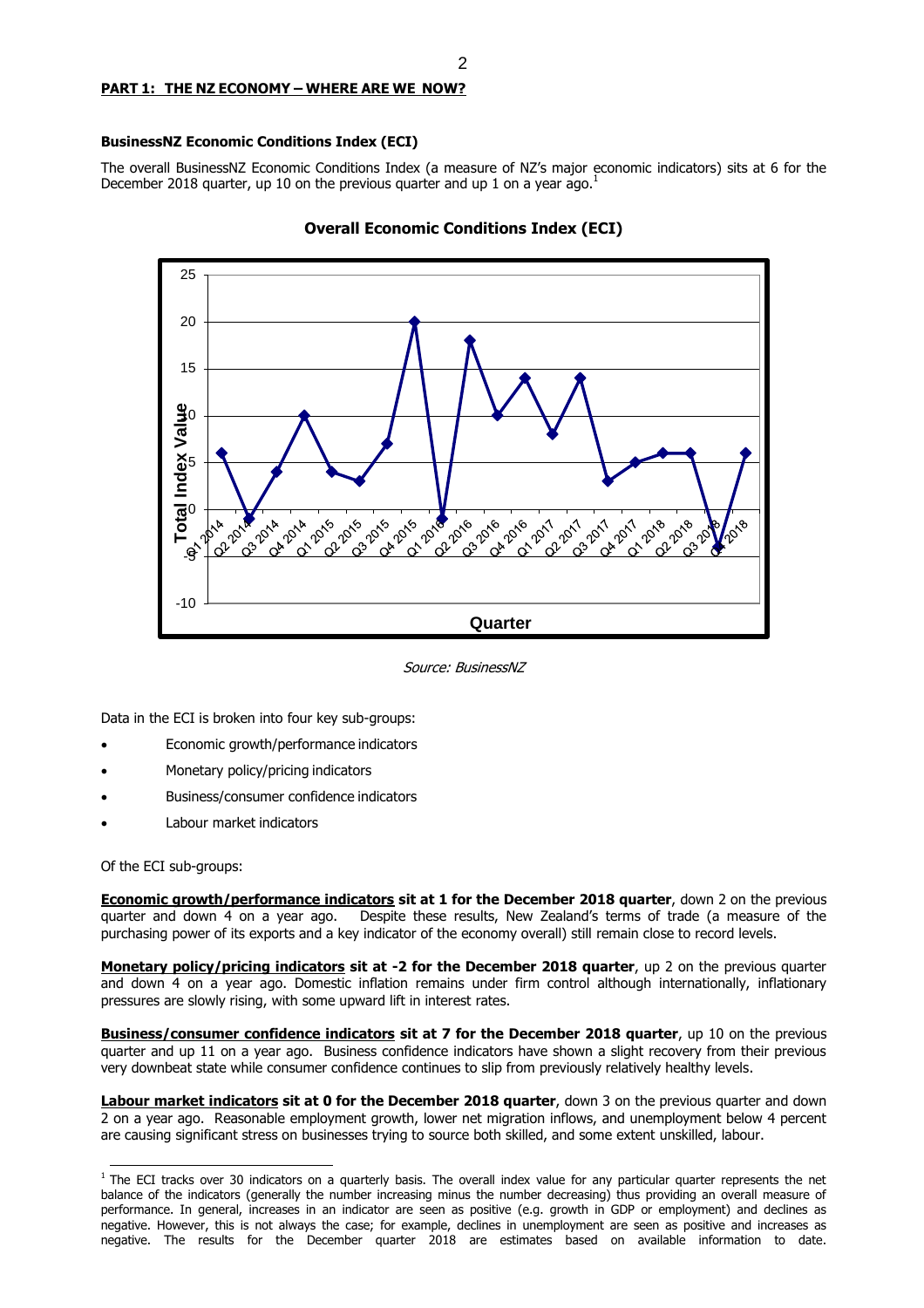#### **PART 1: THE NZ ECONOMY – WHERE ARE WE NOW?**

#### **BusinessNZ Economic Conditions Index (ECI)**

The overall BusinessNZ Economic Conditions Index (a measure of NZ's major economic indicators) sits at 6 for the December 2018 quarter, up 10 on the previous quarter and up 1 on a year ago.<sup>1</sup>





Source: BusinessNZ

Data in the ECI is broken into four key sub-groups:

- Economic growth/performance indicators
- Monetary policy/pricing indicators
- Business/consumer confidence indicators
- Labour market indicators

Of the ECI sub-groups:

**Economic growth/performance indicators sit at 1 for the December 2018 quarter**, down 2 on the previous quarter and down 4 on a year ago. Despite these results, New Zealand's terms of trade (a measure of the purchasing power of its exports and a key indicator of the economy overall) still remain close to record levels.

**Monetary policy/pricing indicators sit at -2 for the December 2018 quarter**, up 2 on the previous quarter and down 4 on a year ago. Domestic inflation remains under firm control although internationally, inflationary pressures are slowly rising, with some upward lift in interest rates.

**Business/consumer confidence indicators sit at 7 for the December 2018 quarter**, up 10 on the previous quarter and up 11 on a year ago. Business confidence indicators have shown a slight recovery from their previous very downbeat state while consumer confidence continues to slip from previously relatively healthy levels.

**Labour market indicators sit at 0 for the December 2018 quarter**, down 3 on the previous quarter and down 2 on a year ago. Reasonable employment growth, lower net migration inflows, and unemployment below 4 percent are causing significant stress on businesses trying to source both skilled, and some extent unskilled, labour.

 $1$  The ECI tracks over 30 indicators on a quarterly basis. The overall index value for any particular quarter represents the net balance of the indicators (generally the number increasing minus the number decreasing) thus providing an overall measure of performance. In general, increases in an indicator are seen as positive (e.g. growth in GDP or employment) and declines as negative. However, this is not always the case; for example, declines in unemployment are seen as positive and increases as negative. The results for the December quarter 2018 are estimates based on available information to date.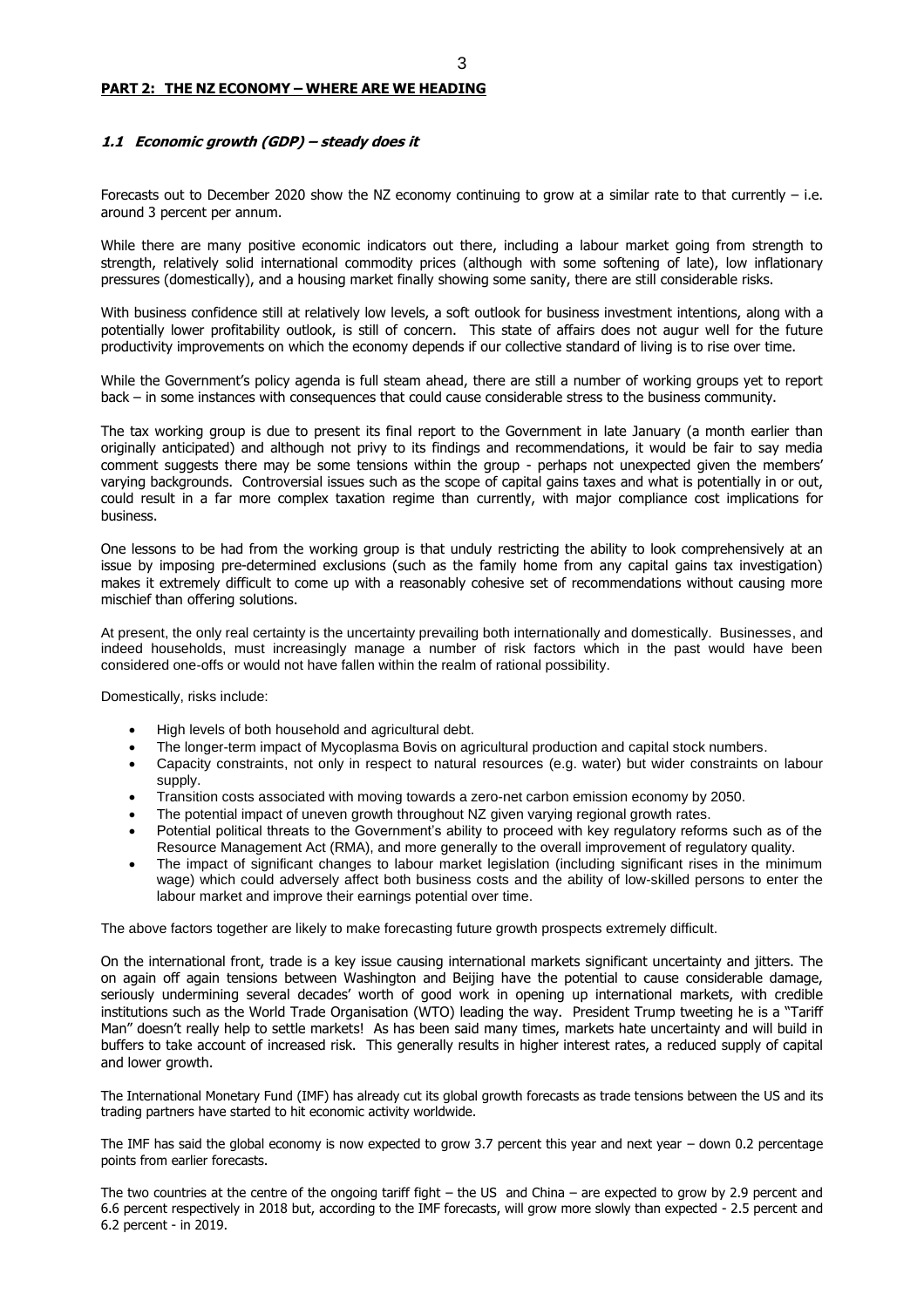#### **PART 2: THE NZ ECONOMY – WHERE ARE WE HEADING**

#### **1.1 Economic growth (GDP) – steady does it**

Forecasts out to December 2020 show the NZ economy continuing to grow at a similar rate to that currently – i.e. around 3 percent per annum.

While there are many positive economic indicators out there, including a labour market going from strength to strength, relatively solid international commodity prices (although with some softening of late), low inflationary pressures (domestically), and a housing market finally showing some sanity, there are still considerable risks.

With business confidence still at relatively low levels, a soft outlook for business investment intentions, along with a potentially lower profitability outlook, is still of concern. This state of affairs does not augur well for the future productivity improvements on which the economy depends if our collective standard of living is to rise over time.

While the Government's policy agenda is full steam ahead, there are still a number of working groups yet to report back – in some instances with consequences that could cause considerable stress to the business community.

The tax working group is due to present its final report to the Government in late January (a month earlier than originally anticipated) and although not privy to its findings and recommendations, it would be fair to say media comment suggests there may be some tensions within the group - perhaps not unexpected given the members' varying backgrounds. Controversial issues such as the scope of capital gains taxes and what is potentially in or out, could result in a far more complex taxation regime than currently, with major compliance cost implications for business.

One lessons to be had from the working group is that unduly restricting the ability to look comprehensively at an issue by imposing pre-determined exclusions (such as the family home from any capital gains tax investigation) makes it extremely difficult to come up with a reasonably cohesive set of recommendations without causing more mischief than offering solutions.

At present, the only real certainty is the uncertainty prevailing both internationally and domestically. Businesses, and indeed households, must increasingly manage a number of risk factors which in the past would have been considered one-offs or would not have fallen within the realm of rational possibility.

Domestically, risks include:

- High levels of both household and agricultural debt.
- The longer-term impact of Mycoplasma Bovis on agricultural production and capital stock numbers.
- Capacity constraints, not only in respect to natural resources (e.g. water) but wider constraints on labour supply.
- Transition costs associated with moving towards a zero-net carbon emission economy by 2050.
- The potential impact of uneven growth throughout NZ given varying regional growth rates.
- Potential political threats to the Government's ability to proceed with key regulatory reforms such as of the Resource Management Act (RMA), and more generally to the overall improvement of regulatory quality.
- The impact of significant changes to labour market legislation (including significant rises in the minimum wage) which could adversely affect both business costs and the ability of low-skilled persons to enter the labour market and improve their earnings potential over time.

The above factors together are likely to make forecasting future growth prospects extremely difficult.

On the international front, trade is a key issue causing international markets significant uncertainty and jitters. The on again off again tensions between Washington and Beijing have the potential to cause considerable damage, seriously undermining several decades' worth of good work in opening up international markets, with credible institutions such as the World Trade Organisation (WTO) leading the way. President Trump tweeting he is a "Tariff Man" doesn't really help to settle markets! As has been said many times, markets hate uncertainty and will build in buffers to take account of increased risk. This generally results in higher interest rates, a reduced supply of capital and lower growth.

The International Monetary Fund (IMF) has already cut its global growth forecasts as trade tensions between the US and its trading partners have started to hit economic activity worldwide.

The IMF has said the global economy is now expected to grow 3.7 percent this year and next year  $-$  down 0.2 percentage points from earlier forecasts.

The two countries at the centre of the ongoing tariff fight – the US and China – are expected to grow by 2.9 percent and 6.6 percent respectively in 2018 but, according to the IMF forecasts, will grow more slowly than expected - 2.5 percent and 6.2 percent - in 2019.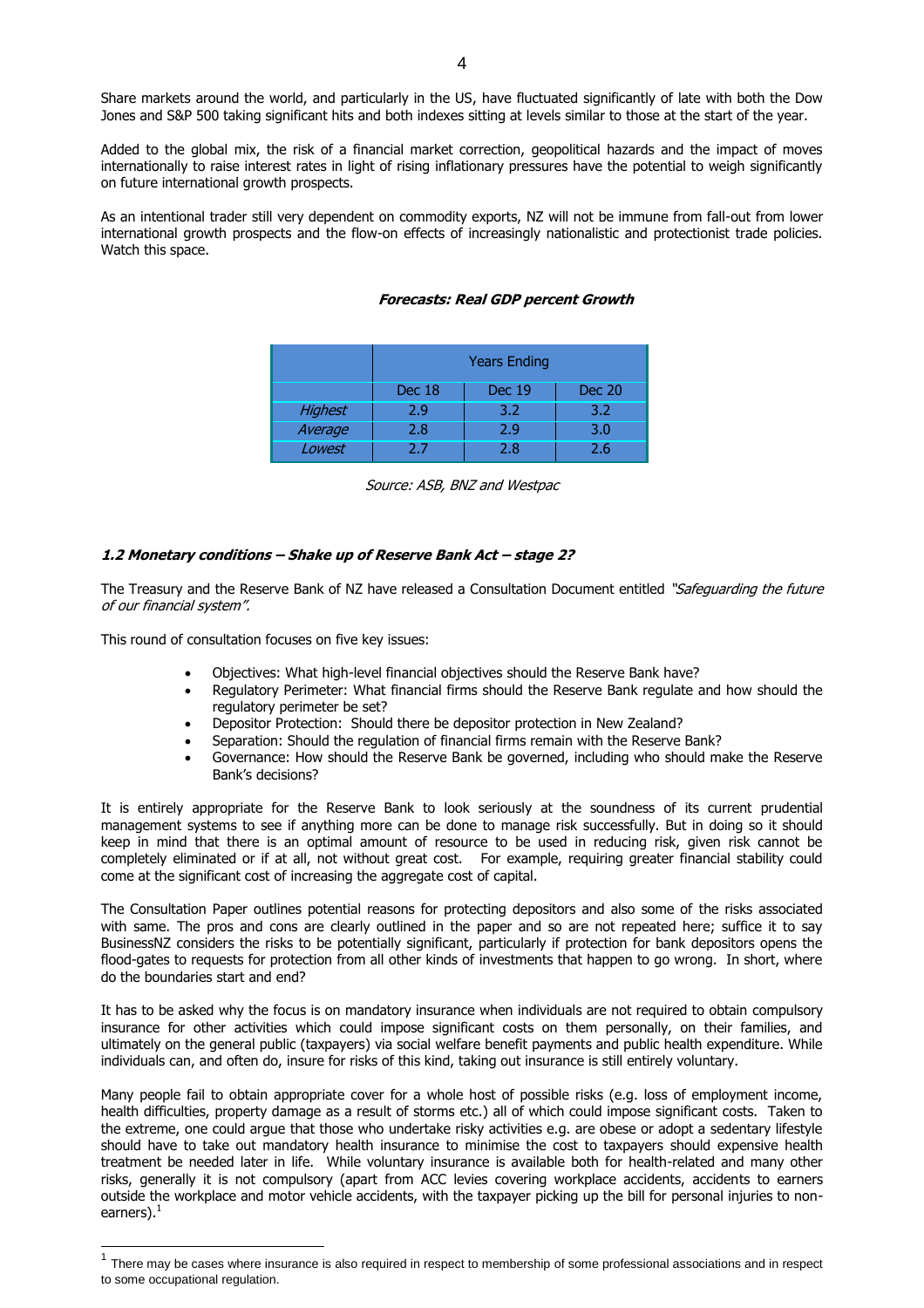Share markets around the world, and particularly in the US, have fluctuated significantly of late with both the Dow Jones and S&P 500 taking significant hits and both indexes sitting at levels similar to those at the start of the year.

Added to the global mix, the risk of a financial market correction, geopolitical hazards and the impact of moves internationally to raise interest rates in light of rising inflationary pressures have the potential to weigh significantly on future international growth prospects.

As an intentional trader still very dependent on commodity exports, NZ will not be immune from fall-out from lower international growth prospects and the flow-on effects of increasingly nationalistic and protectionist trade policies. Watch this space.

|                | <b>Years Ending</b>                      |     |     |  |  |  |  |
|----------------|------------------------------------------|-----|-----|--|--|--|--|
|                | Dec 18<br><b>Dec 19</b><br><b>Dec 20</b> |     |     |  |  |  |  |
| <b>Highest</b> | 2.9                                      | 3.2 | 3.2 |  |  |  |  |
| Average        | 2.8                                      | 2.9 | 3.0 |  |  |  |  |
| Lowest         | 77                                       | 2.8 | 2.6 |  |  |  |  |

#### **Forecasts: Real GDP percent Growth**

Source: ASB, BNZ and Westpac

#### **1.2 Monetary conditions – Shake up of Reserve Bank Act – stage 2?**

The Treasury and the Reserve Bank of NZ have released a Consultation Document entitled "Safeguarding the future of our financial system".

This round of consultation focuses on five key issues:

- Objectives: What high-level financial objectives should the Reserve Bank have?
- Regulatory Perimeter: What financial firms should the Reserve Bank regulate and how should the regulatory perimeter be set?
- Depositor Protection: Should there be depositor protection in New Zealand?
- Separation: Should the regulation of financial firms remain with the Reserve Bank?
- Governance: How should the Reserve Bank be governed, including who should make the Reserve Bank's decisions?

It is entirely appropriate for the Reserve Bank to look seriously at the soundness of its current prudential management systems to see if anything more can be done to manage risk successfully. But in doing so it should keep in mind that there is an optimal amount of resource to be used in reducing risk, given risk cannot be completely eliminated or if at all, not without great cost. For example, requiring greater financial stability could come at the significant cost of increasing the aggregate cost of capital.

The Consultation Paper outlines potential reasons for protecting depositors and also some of the risks associated with same. The pros and cons are clearly outlined in the paper and so are not repeated here; suffice it to say BusinessNZ considers the risks to be potentially significant, particularly if protection for bank depositors opens the flood-gates to requests for protection from all other kinds of investments that happen to go wrong. In short, where do the boundaries start and end?

It has to be asked why the focus is on mandatory insurance when individuals are not required to obtain compulsory insurance for other activities which could impose significant costs on them personally, on their families, and ultimately on the general public (taxpayers) via social welfare benefit payments and public health expenditure. While individuals can, and often do, insure for risks of this kind, taking out insurance is still entirely voluntary.

Many people fail to obtain appropriate cover for a whole host of possible risks (e.g. loss of employment income, health difficulties, property damage as a result of storms etc.) all of which could impose significant costs. Taken to the extreme, one could argue that those who undertake risky activities e.g. are obese or adopt a sedentary lifestyle should have to take out mandatory health insurance to minimise the cost to taxpayers should expensive health treatment be needed later in life. While voluntary insurance is available both for health-related and many other risks, generally it is not compulsory (apart from ACC levies covering workplace accidents, accidents to earners outside the workplace and motor vehicle accidents, with the taxpayer picking up the bill for personal injuries to nonearners). $<sup>1</sup>$ </sup>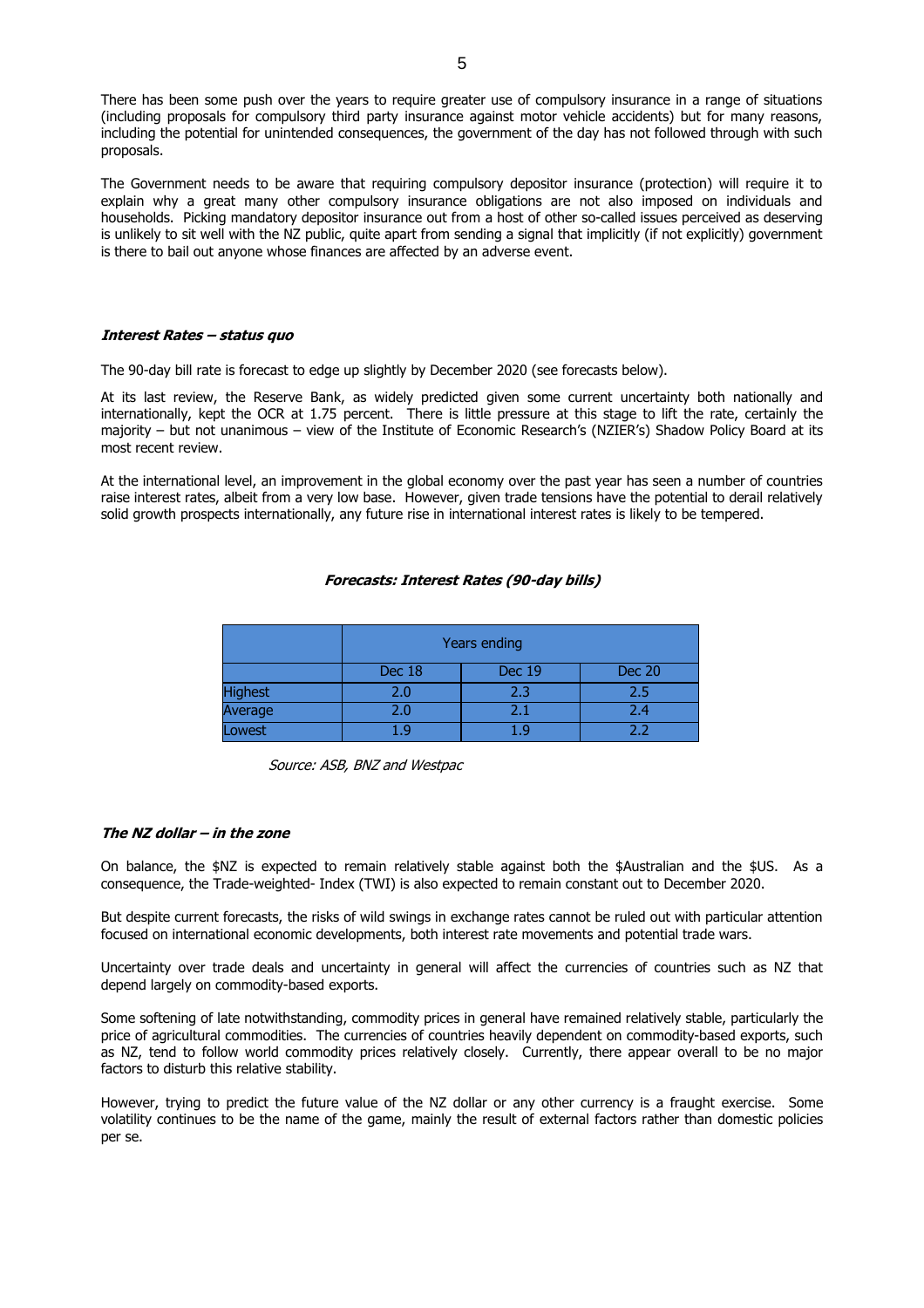There has been some push over the years to require greater use of compulsory insurance in a range of situations (including proposals for compulsory third party insurance against motor vehicle accidents) but for many reasons, including the potential for unintended consequences, the government of the day has not followed through with such proposals.

The Government needs to be aware that requiring compulsory depositor insurance (protection) will require it to explain why a great many other compulsory insurance obligations are not also imposed on individuals and households. Picking mandatory depositor insurance out from a host of other so-called issues perceived as deserving is unlikely to sit well with the NZ public, quite apart from sending a signal that implicitly (if not explicitly) government is there to bail out anyone whose finances are affected by an adverse event.

#### **Interest Rates – status quo**

The 90-day bill rate is forecast to edge up slightly by December 2020 (see forecasts below).

At its last review, the Reserve Bank, as widely predicted given some current uncertainty both nationally and internationally, kept the OCR at 1.75 percent. There is little pressure at this stage to lift the rate, certainly the majority – but not unanimous – view of the Institute of Economic Research's (NZIER's) Shadow Policy Board at its most recent review.

At the international level, an improvement in the global economy over the past year has seen a number of countries raise interest rates, albeit from a very low base. However, given trade tensions have the potential to derail relatively solid growth prospects internationally, any future rise in international interest rates is likely to be tempered.

#### **Forecasts: Interest Rates (90-day bills)**

|                      | Years ending                             |  |  |  |  |  |  |
|----------------------|------------------------------------------|--|--|--|--|--|--|
|                      | <b>Dec 20</b><br>Dec 18<br><b>Dec 19</b> |  |  |  |  |  |  |
| Highest <sup>-</sup> | 2.0<br>2.3<br>2.5                        |  |  |  |  |  |  |
| Average              | 2.0<br>2.4                               |  |  |  |  |  |  |
| Lowest               | ר ר                                      |  |  |  |  |  |  |

Source: ASB, BNZ and Westpac

#### **The NZ dollar – in the zone**

On balance, the \$NZ is expected to remain relatively stable against both the \$Australian and the \$US. As a consequence, the Trade-weighted- Index (TWI) is also expected to remain constant out to December 2020.

But despite current forecasts, the risks of wild swings in exchange rates cannot be ruled out with particular attention focused on international economic developments, both interest rate movements and potential trade wars.

Uncertainty over trade deals and uncertainty in general will affect the currencies of countries such as NZ that depend largely on commodity-based exports.

Some softening of late notwithstanding, commodity prices in general have remained relatively stable, particularly the price of agricultural commodities. The currencies of countries heavily dependent on commodity-based exports, such as NZ, tend to follow world commodity prices relatively closely. Currently, there appear overall to be no major factors to disturb this relative stability.

However, trying to predict the future value of the NZ dollar or any other currency is a fraught exercise. Some volatility continues to be the name of the game, mainly the result of external factors rather than domestic policies per se.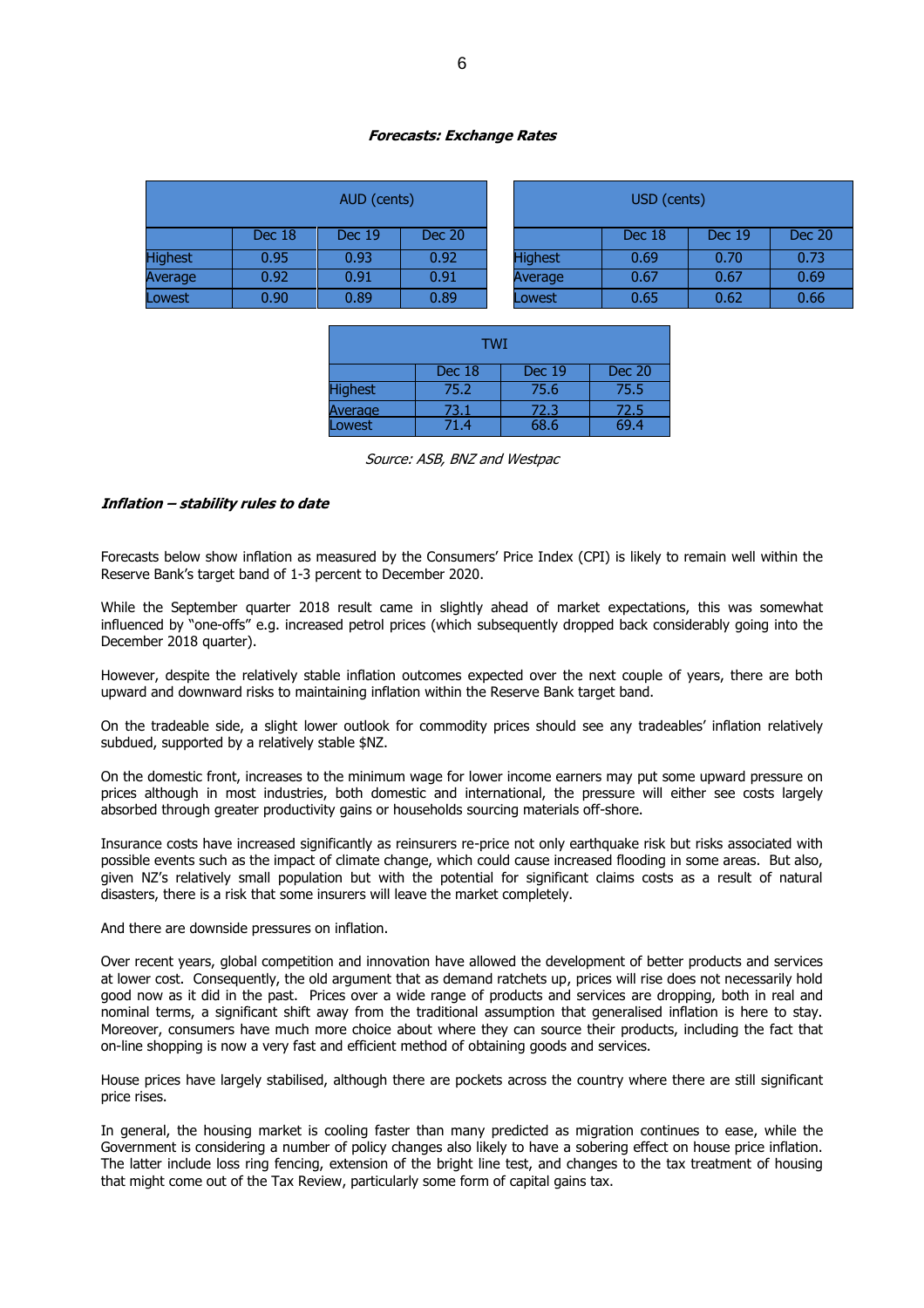#### **Forecasts: Exchange Rates**

| AUD (cents)    |                   |               |               | USD (cents)    |        |               |               |
|----------------|-------------------|---------------|---------------|----------------|--------|---------------|---------------|
|                | Dec 18            | <b>Dec 19</b> | <b>Dec 20</b> |                | Dec 18 | <b>Dec 19</b> | <b>Dec 20</b> |
| <b>Highest</b> | 0.95              | 0.93          | 0.92          | <b>Highest</b> | 0.69   | 0.70          | 0.73          |
| Average        | 0.92 <sub>1</sub> | 0.91          | 0.91          | Average        | 0.67   | 0.67          | 0.69          |
| Lowest         | 0.90              | 0.89          | 0.89          | Lowest         | 0.65   | 0.62          | 0.66          |

| <b>TWI</b>                               |      |      |      |  |  |  |
|------------------------------------------|------|------|------|--|--|--|
| <b>Dec 19</b><br><b>Dec 20</b><br>Dec 18 |      |      |      |  |  |  |
| <b>Highest</b>                           | 75.2 | 75.6 | 75.5 |  |  |  |
| 72.3<br>73.1<br>Average<br>72.5          |      |      |      |  |  |  |
| <b>Lowest</b>                            | 71.4 | 68.6 | 69.4 |  |  |  |

Source: ASB, BNZ and Westpac

#### **Inflation – stability rules to date**

Forecasts below show inflation as measured by the Consumers' Price Index (CPI) is likely to remain well within the Reserve Bank's target band of 1-3 percent to December 2020.

While the September quarter 2018 result came in slightly ahead of market expectations, this was somewhat influenced by "one-offs" e.g. increased petrol prices (which subsequently dropped back considerably going into the December 2018 quarter).

However, despite the relatively stable inflation outcomes expected over the next couple of years, there are both upward and downward risks to maintaining inflation within the Reserve Bank target band.

On the tradeable side, a slight lower outlook for commodity prices should see any tradeables' inflation relatively subdued, supported by a relatively stable \$NZ.

On the domestic front, increases to the minimum wage for lower income earners may put some upward pressure on prices although in most industries, both domestic and international, the pressure will either see costs largely absorbed through greater productivity gains or households sourcing materials off-shore.

Insurance costs have increased significantly as reinsurers re-price not only earthquake risk but risks associated with possible events such as the impact of climate change, which could cause increased flooding in some areas. But also, given NZ's relatively small population but with the potential for significant claims costs as a result of natural disasters, there is a risk that some insurers will leave the market completely.

#### And there are downside pressures on inflation.

Over recent years, global competition and innovation have allowed the development of better products and services at lower cost. Consequently, the old argument that as demand ratchets up, prices will rise does not necessarily hold good now as it did in the past. Prices over a wide range of products and services are dropping, both in real and nominal terms, a significant shift away from the traditional assumption that generalised inflation is here to stay. Moreover, consumers have much more choice about where they can source their products, including the fact that on-line shopping is now a very fast and efficient method of obtaining goods and services.

House prices have largely stabilised, although there are pockets across the country where there are still significant price rises.

In general, the housing market is cooling faster than many predicted as migration continues to ease, while the Government is considering a number of policy changes also likely to have a sobering effect on house price inflation. The latter include loss ring fencing, extension of the bright line test, and changes to the tax treatment of housing that might come out of the Tax Review, particularly some form of capital gains tax.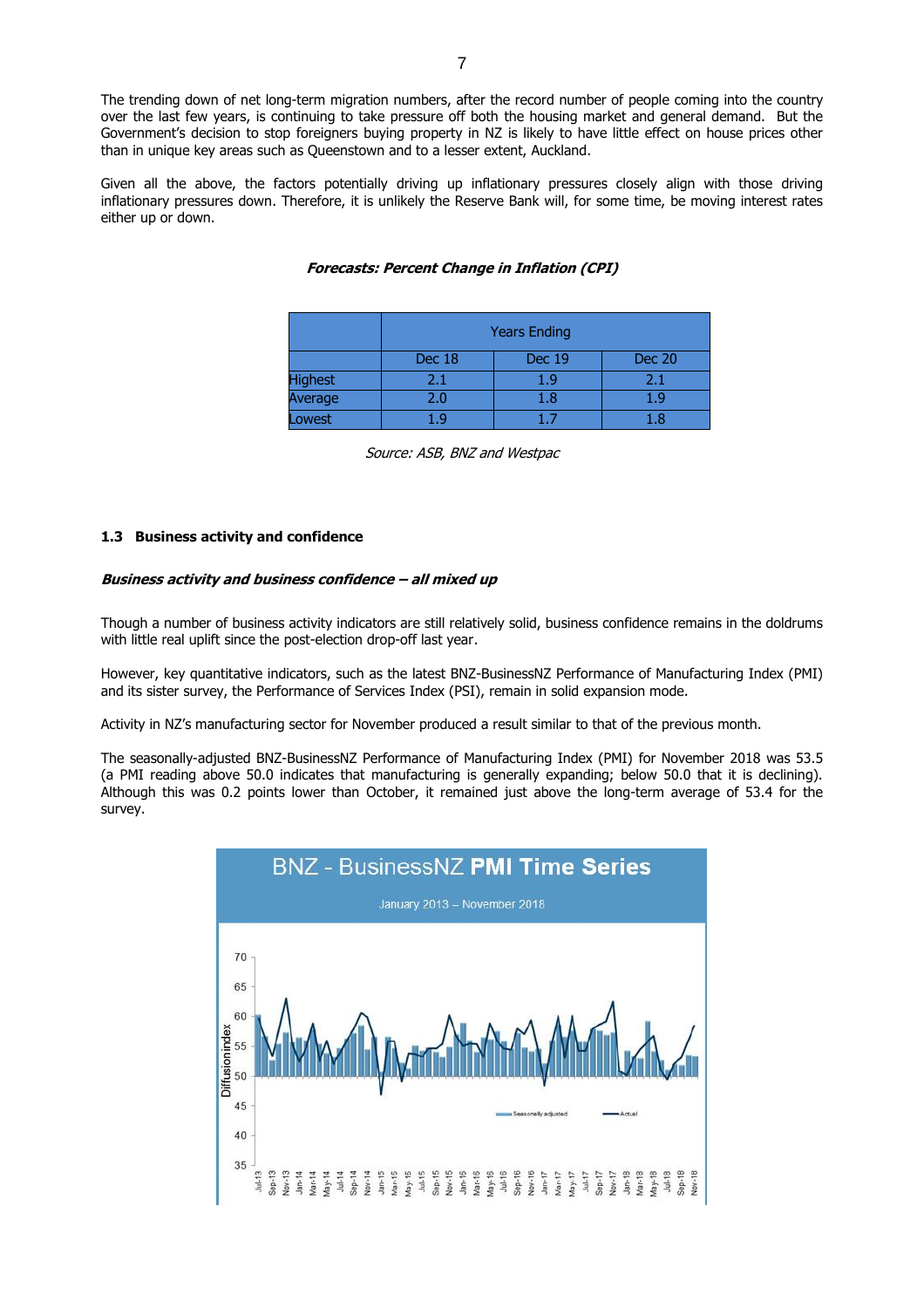The trending down of net long-term migration numbers, after the record number of people coming into the country over the last few years, is continuing to take pressure off both the housing market and general demand. But the Government's decision to stop foreigners buying property in NZ is likely to have little effect on house prices other than in unique key areas such as Queenstown and to a lesser extent, Auckland.

Given all the above, the factors potentially driving up inflationary pressures closely align with those driving inflationary pressures down. Therefore, it is unlikely the Reserve Bank will, for some time, be moving interest rates either up or down.

|                | <b>Years Ending</b>                      |     |     |  |  |  |
|----------------|------------------------------------------|-----|-----|--|--|--|
|                | Dec 18<br><b>Dec 19</b><br><b>Dec 20</b> |     |     |  |  |  |
| <b>Highest</b> | 2.1                                      | 1.9 | 2.1 |  |  |  |
| Average        | 2.0                                      | 1.8 | 1.9 |  |  |  |
| owest          |                                          |     |     |  |  |  |

#### **Forecasts: Percent Change in Inflation (CPI)**

Source: ASB, BNZ and Westpac

#### **1.3 Business activity and confidence**

#### **Business activity and business confidence – all mixed up**

Though a number of business activity indicators are still relatively solid, business confidence remains in the doldrums with little real uplift since the post-election drop-off last year.

However, key quantitative indicators, such as the latest BNZ-BusinessNZ Performance of Manufacturing Index (PMI) and its sister survey, the Performance of Services Index (PSI), remain in solid expansion mode.

Activity in NZ's manufacturing sector for November produced a result similar to that of the previous month.

The seasonally-adjusted BNZ-BusinessNZ Performance of Manufacturing Index (PMI) for November 2018 was 53.5 (a PMI reading above 50.0 indicates that manufacturing is generally expanding; below 50.0 that it is declining). Although this was 0.2 points lower than October, it remained just above the long-term average of 53.4 for the survey.

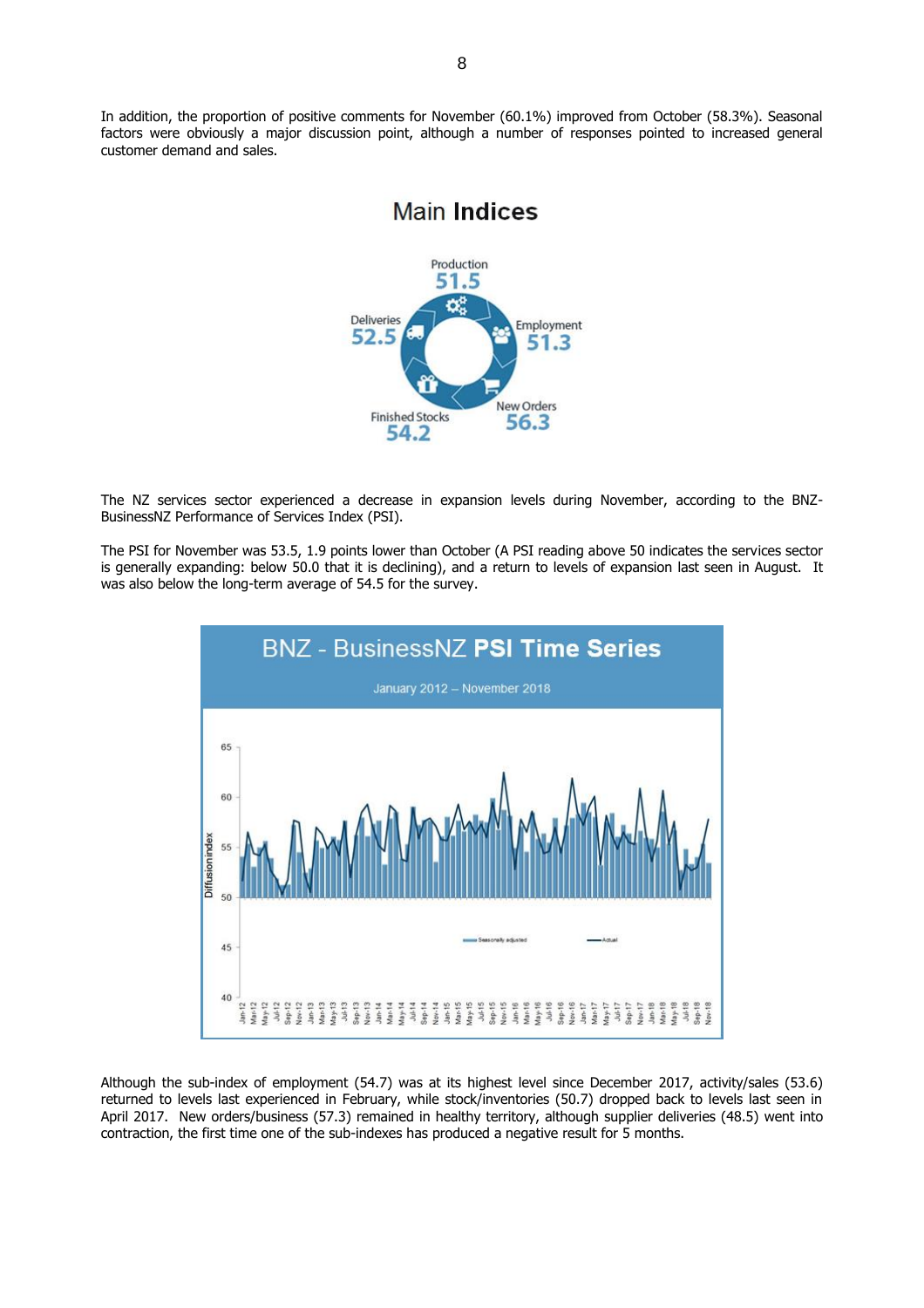In addition, the proportion of positive comments for November (60.1%) improved from October (58.3%). Seasonal factors were obviously a major discussion point, although a number of responses pointed to increased general customer demand and sales.

**Main Indices** 

#### Production 51.5  $\alpha^a$ **Deliveries** Employment 52.5 51.3 **New Orders Finished Stocks** 56.3 54.2

The NZ services sector experienced a decrease in expansion levels during November, according to the BNZ-BusinessNZ Performance of Services Index (PSI).

The PSI for November was 53.5, 1.9 points lower than October (A PSI reading above 50 indicates the services sector is generally expanding: below 50.0 that it is declining), and a return to levels of expansion last seen in August. It was also below the long-term average of 54.5 for the survey.



Although the sub-index of employment (54.7) was at its highest level since December 2017, activity/sales (53.6) returned to levels last experienced in February, while stock/inventories (50.7) dropped back to levels last seen in April 2017. New orders/business (57.3) remained in healthy territory, although supplier deliveries (48.5) went into contraction, the first time one of the sub-indexes has produced a negative result for 5 months.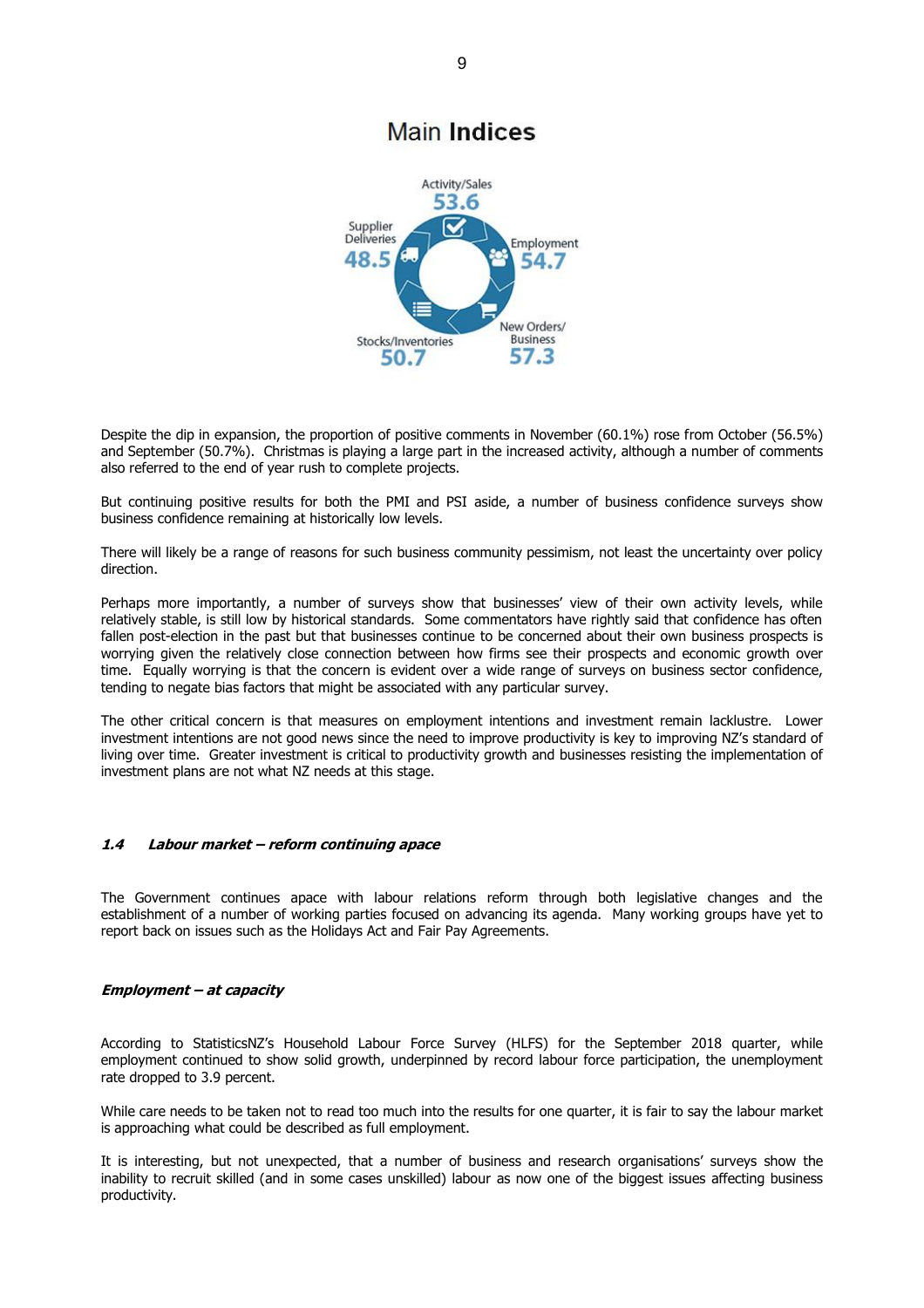# **Main Indices**



Despite the dip in expansion, the proportion of positive comments in November (60.1%) rose from October (56.5%) and September (50.7%). Christmas is playing a large part in the increased activity, although a number of comments also referred to the end of year rush to complete projects.

But continuing positive results for both the PMI and PSI aside, a number of business confidence surveys show business confidence remaining at historically low levels.

There will likely be a range of reasons for such business community pessimism, not least the uncertainty over policy direction.

Perhaps more importantly, a number of surveys show that businesses' view of their own activity levels, while relatively stable, is still low by historical standards. Some commentators have rightly said that confidence has often fallen post-election in the past but that businesses continue to be concerned about their own business prospects is worrying given the relatively close connection between how firms see their prospects and economic growth over time. Equally worrying is that the concern is evident over a wide range of surveys on business sector confidence, tending to negate bias factors that might be associated with any particular survey.

The other critical concern is that measures on employment intentions and investment remain lacklustre. Lower investment intentions are not good news since the need to improve productivity is key to improving NZ's standard of living over time. Greater investment is critical to productivity growth and businesses resisting the implementation of investment plans are not what NZ needs at this stage.

#### **1.4 Labour market – reform continuing apace**

The Government continues apace with labour relations reform through both legislative changes and the establishment of a number of working parties focused on advancing its agenda. Many working groups have yet to report back on issues such as the Holidays Act and Fair Pay Agreements.

#### **Employment – at capacity**

According to StatisticsNZ's Household Labour Force Survey (HLFS) for the September 2018 quarter, while employment continued to show solid growth, underpinned by record labour force participation, the unemployment rate dropped to 3.9 percent.

While care needs to be taken not to read too much into the results for one quarter, it is fair to say the labour market is approaching what could be described as full employment.

It is interesting, but not unexpected, that a number of business and research organisations' surveys show the inability to recruit skilled (and in some cases unskilled) labour as now one of the biggest issues affecting business productivity.